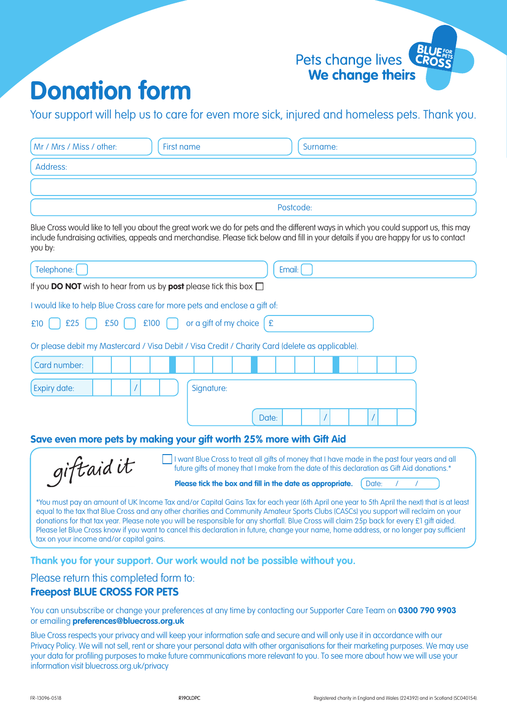

## **Donation form**

Your support will help us to care for even more sick, injured and homeless pets. Thank you.

| Mr / Mrs / Miss / other:                                                                        | <b>First name</b>              | Surname:                                                                                                                                                                                                                                                                                                                                                                                                                                                                                                                                                                       |
|-------------------------------------------------------------------------------------------------|--------------------------------|--------------------------------------------------------------------------------------------------------------------------------------------------------------------------------------------------------------------------------------------------------------------------------------------------------------------------------------------------------------------------------------------------------------------------------------------------------------------------------------------------------------------------------------------------------------------------------|
| Address:                                                                                        |                                |                                                                                                                                                                                                                                                                                                                                                                                                                                                                                                                                                                                |
|                                                                                                 |                                |                                                                                                                                                                                                                                                                                                                                                                                                                                                                                                                                                                                |
|                                                                                                 |                                | Postcode:                                                                                                                                                                                                                                                                                                                                                                                                                                                                                                                                                                      |
| you by:                                                                                         |                                | Blue Cross would like to tell you about the great work we do for pets and the different ways in which you could support us, this may<br>include fundraising activities, appeals and merchandise. Please tick below and fill in your details if you are happy for us to contact                                                                                                                                                                                                                                                                                                 |
| Telephone:                                                                                      |                                | Email:                                                                                                                                                                                                                                                                                                                                                                                                                                                                                                                                                                         |
| If you DO NOT wish to hear from us by post please tick this box $\Box$                          |                                |                                                                                                                                                                                                                                                                                                                                                                                                                                                                                                                                                                                |
| I would like to help Blue Cross care for more pets and enclose a gift of:                       |                                |                                                                                                                                                                                                                                                                                                                                                                                                                                                                                                                                                                                |
| £25<br>£50<br>£10                                                                               | £100<br>or a gift of my choice | E                                                                                                                                                                                                                                                                                                                                                                                                                                                                                                                                                                              |
| Or please debit my Mastercard / Visa Debit / Visa Credit / Charity Card (delete as applicable). |                                |                                                                                                                                                                                                                                                                                                                                                                                                                                                                                                                                                                                |
| Card number:                                                                                    |                                |                                                                                                                                                                                                                                                                                                                                                                                                                                                                                                                                                                                |
| <b>Expiry date:</b>                                                                             | Signature:                     |                                                                                                                                                                                                                                                                                                                                                                                                                                                                                                                                                                                |
|                                                                                                 |                                |                                                                                                                                                                                                                                                                                                                                                                                                                                                                                                                                                                                |
|                                                                                                 |                                | Date:                                                                                                                                                                                                                                                                                                                                                                                                                                                                                                                                                                          |
| Save even more pets by making your gift worth 25% more with Gift Aid                            |                                |                                                                                                                                                                                                                                                                                                                                                                                                                                                                                                                                                                                |
| giftaidit                                                                                       |                                | I want Blue Cross to treat all gifts of money that I have made in the past four years and all<br>future gifts of money that I make from the date of this declaration as Gift Aid donations.*                                                                                                                                                                                                                                                                                                                                                                                   |
|                                                                                                 |                                | Date:<br>Please tick the box and fill in the date as appropriate.                                                                                                                                                                                                                                                                                                                                                                                                                                                                                                              |
| tax on your income and/or capital gains.                                                        |                                | *You must pay an amount of UK Income Tax and/or Capital Gains Tax for each year (6th April one year to 5th April the next) that is at least<br>equal to the tax that Blue Cross and any other charities and Community Amateur Sports Clubs (CASCs) you support will reclaim on your<br>donations for that tax year. Please note you will be responsible for any shortfall. Blue Cross will claim 25p back for every £1 gift aided.<br>Please let Blue Cross know if you want to cancel this declaration in future, change your name, home address, or no longer pay sufficient |
|                                                                                                 |                                | Thank you for your support. Our work would not be possible without you.                                                                                                                                                                                                                                                                                                                                                                                                                                                                                                        |

Please return this completed form to:

## **Freepost BLUE CROSS FOR PETS**

You can unsubscribe or change your preferences at any time by contacting our Supporter Care Team on **0300 790 9903** or emailing **preferences@bluecross.org.uk**

Blue Cross respects your privacy and will keep your information safe and secure and will only use it in accordance with our Privacy Policy. We will not sell, rent or share your personal data with other organisations for their marketing purposes. We may use your data for profiling purposes to make future communications more relevant to you. To see more about how we will use your information visit bluecross.org.uk/privacy